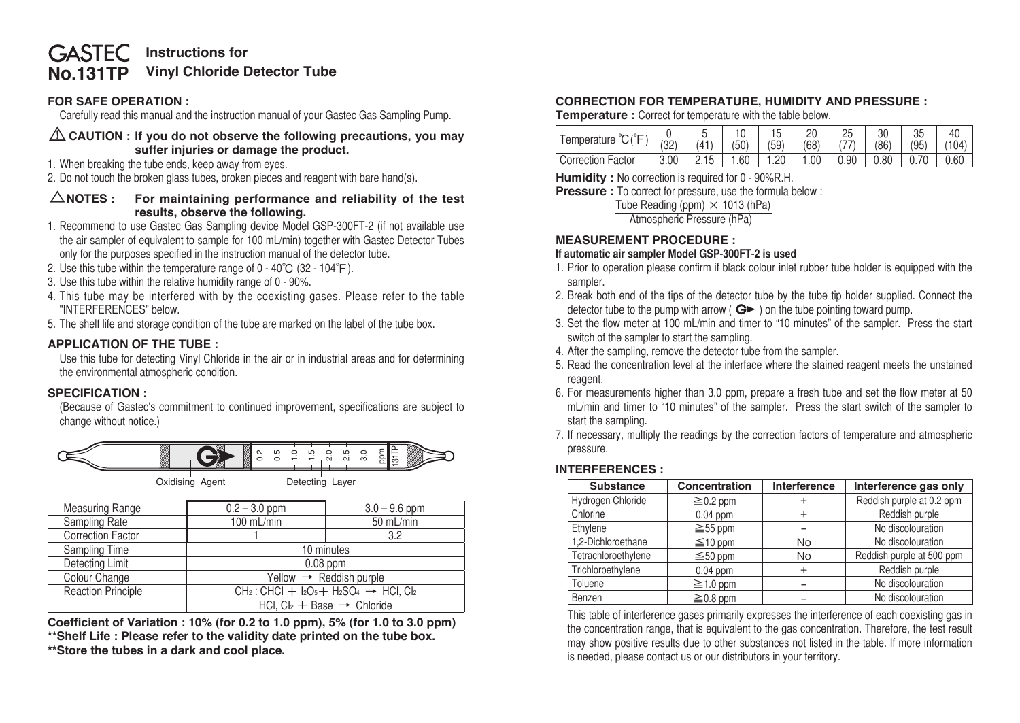#### **No.131TP GASTEC** Instructions for **Vinyl Chloride Detector Tube**

## **FOR SAFE OPERATION :**

 Carefully read this manual and the instruction manual of your Gastec Gas Sampling Pump.

## ⚠**CAUTION : If you do not observe the following precautions, you may suffer injuries or damage the product.**

1. When breaking the tube ends, keep away from eyes.

2. Do not touch the broken glass tubes, broken pieces and reagent with bare hand(s).

#### △**NOTES : For maintaining performance and reliability of the test results, observe the following.**

- 1. Recommend to use Gastec Gas Sampling device Model GSP-300FT-2 (if not available use the air sampler of equivalent to sample for 100 mL/min) together with Gastec Detector Tubes only for the purposes specified in the instruction manual of the detector tube.
- 2. Use this tube within the temperature range of  $0 40^{\circ}C$  (32 104 $^{\circ}F$ ).
- 3. Use this tube within the relative humidity range of 0 90%.
- 4. This tube may be interfered with by the coexisting gases. Please refer to the table "INTERFERENCES" below.
- 5. The shelf life and storage condition of the tube are marked on the label of the tube box.

### **APPLICATION OF THE TUBE :**

 Use this tube for detecting Vinyl Chloride in the air or in industrial areas and for determining the environmental atmospheric condition.

#### **SPECIFICATION :**

 (Because of Gastec's commitment to continued improvement, specifications are subject to change without notice.)



| <b>Measuring Range</b>    | $0.2 - 3.0$ ppm                                                                                       | $3.0 - 9.6$ ppm |  |  |  |
|---------------------------|-------------------------------------------------------------------------------------------------------|-----------------|--|--|--|
| Sampling Rate             | 100 mL/min                                                                                            | 50 mL/min       |  |  |  |
| <b>Correction Factor</b>  |                                                                                                       | 3.2             |  |  |  |
| Sampling Time             | 10 minutes                                                                                            |                 |  |  |  |
| Detecting Limit           | $0.08$ ppm                                                                                            |                 |  |  |  |
| Colour Change             | Yellow $\rightarrow$ Reddish purple                                                                   |                 |  |  |  |
| <b>Reaction Principle</b> | CH <sub>2</sub> : CHCl + $I_2O_5$ + H <sub>2</sub> SO <sub>4</sub> $\rightarrow$ HCl, Cl <sub>2</sub> |                 |  |  |  |
|                           | HCl, $Cl_2 + Base \rightarrow$ Chloride                                                               |                 |  |  |  |

**Coefficient of Variation : 10% (for 0.2 to 1.0 ppm), 5% (for 1.0 to 3.0 ppm)**

**\*\*Shelf Life : Please refer to the validity date printed on the tube box.**

**\*\*Store the tubes in a dark and cool place.**

# **CORRECTION FOR TEMPERATURE, HUMIDITY AND PRESSURE :**

**Temperature :** Correct for temperature with the table below.

| Temperature °C(°F) | (32) | (41) | (50) | (59) | 20<br>(68) |      | (86) | 35<br>(95) | 40<br>$^{\prime}$ 104, |
|--------------------|------|------|------|------|------------|------|------|------------|------------------------|
| Correction Factor  | 3.00 | 2.15 | .60  | 1.20 | 1.00       | 0.90 | 0.80 |            | 0.60                   |

**Humidity :** No correction is required for 0 - 90%R.H.

**Pressure :** To correct for pressure, use the formula below :

Tube Reading (ppm)  $\times$  1013 (hPa)

 Atmospheric Pressure (hPa)

## **MEASUREMENT PROCEDURE :**

#### **If automatic air sampler Model GSP-300FT-2 is used**

- 1. Prior to operation please confirm if black colour inlet rubber tube holder is equipped with the sampler.
- 2. Break both end of the tips of the detector tube by the tube tip holder supplied. Connect the detector tube to the pump with arrow ( $\bigoplus$ ) on the tube pointing toward pump.
- 3. Set the flow meter at 100 mL/min and timer to "10 minutes" of the sampler. Press the start switch of the sampler to start the sampling.
- 4. After the sampling, remove the detector tube from the sampler.
- 5. Read the concentration level at the interface where the stained reagent meets the unstained reagent.
- 6. For measurements higher than 3.0 ppm, prepare a fresh tube and set the flow meter at 50 mL/min and timer to "10 minutes" of the sampler. Press the start switch of the sampler to start the sampling.
- 7. If necessary, multiply the readings by the correction factors of temperature and atmospheric pressure.

#### **INTERFERENCES :**

| <b>Substance</b>    | Concentration  | Interference | Interference gas only     |
|---------------------|----------------|--------------|---------------------------|
| Hydrogen Chloride   | $\geq 0.2$ ppm |              | Reddish purple at 0.2 ppm |
| Chlorine            | $0.04$ ppm     | $^{+}$       | Reddish purple            |
| Ethylene            | $\geq 55$ ppm  |              | No discolouration         |
| 1,2-Dichloroethane  | $\leq 10$ ppm  | No           | No discolouration         |
| Tetrachloroethylene | $\leq 50$ ppm  | <b>No</b>    | Reddish purple at 500 ppm |
| Trichloroethylene   | $0.04$ ppm     | $^{+}$       | Reddish purple            |
| Toluene             | $\geq 1.0$ ppm |              | No discolouration         |
| Benzen              | $\geq 0.8$ ppm |              | No discolouration         |

 This table of interference gases primarily expresses the interference of each coexisting gas in the concentration range, that is equivalent to the gas concentration. Therefore, the test result may show positive results due to other substances not listed in the table. If more information is needed, please contact us or our distributors in your territory.